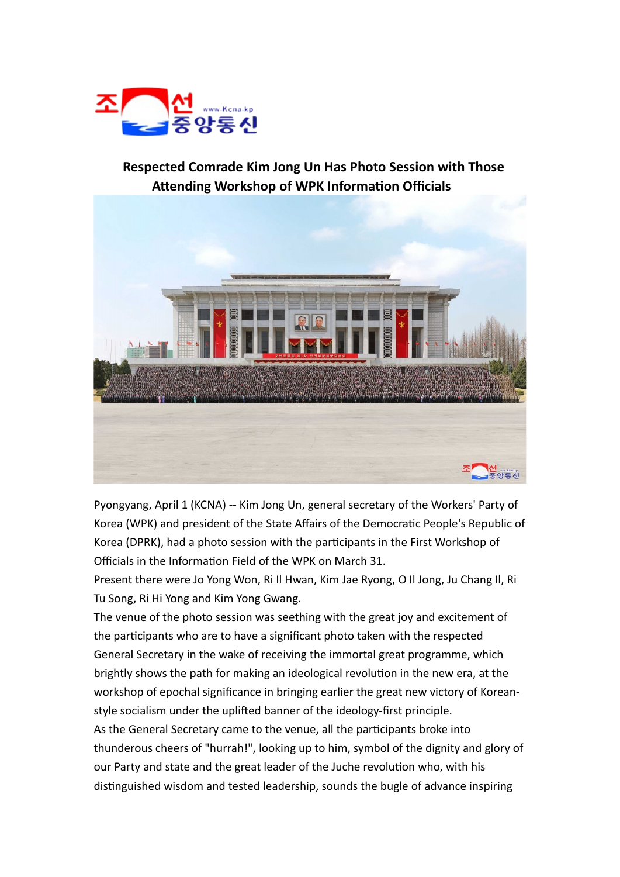

## **Respected Comrade Kim Jong Un Has Photo Session with Those Attending Workshop of WPK Information Officials**



Pyongyang, April 1 (KCNA) -- Kim Jong Un, general secretary of the Workers' Party of Korea (WPK) and president of the State Affairs of the Democratic People's Republic of Korea (DPRK), had a photo session with the participants in the First Workshop of Officials in the Information Field of the WPK on March 31.

Present there were Jo Yong Won, Ri Il Hwan, Kim Jae Ryong, O Il Jong, Ju Chang Il, Ri Tu Song, Ri Hi Yong and Kim Yong Gwang.

The venue of the photo session was seething with the great joy and excitement of the participants who are to have a significant photo taken with the respected General Secretary in the wake of receiving the immortal great programme, which brightly shows the path for making an ideological revolution in the new era, at the workshop of epochal significance in bringing earlier the great new victory of Koreanstyle socialism under the uplifted banner of the ideology-first principle. As the General Secretary came to the venue, all the participants broke into thunderous cheers of "hurrah!", looking up to him, symbol of the dignity and glory of our Party and state and the great leader of the Juche revolution who, with his distinguished wisdom and tested leadership, sounds the bugle of advance inspiring